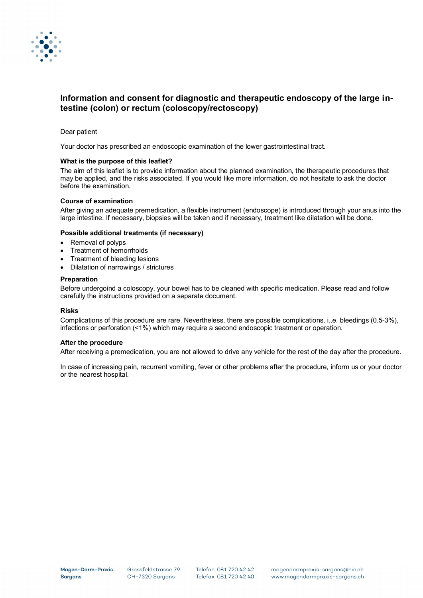

# **Information and consent for diagnostic and therapeutic endoscopy of the large intestine (colon) or rectum (coloscopy/rectoscopy)**

# Dear patient

Your doctor has prescribed an endoscopic examination of the lower gastrointestinal tract.

# **What is the purpose of this leaflet?**

The aim of this leaflet is to provide information about the planned examination, the therapeutic procedures that may be applied, and the risks associated. If you would like more information, do not hesitate to ask the doctor before the examination.

# **Course of examination**

After giving an adequate premedication, a flexible instrument (endoscope) is introduced through your anus into the large intestine. If necessary, biopsies will be taken and if necessary, treatment like dilatation will be done.

# **Possible additional treatments (if necessary)**

- Removal of polyps
- Treatment of hemorrhoids
- Treatment of bleeding lesions
- Dilatation of narrowings / strictures

# **Preparation**

Before undergoind a coloscopy, your bowel has to be cleaned with specific medication. Please read and follow carefully the instructions provided on a separate document.

#### **Risks**

Complications of this procedure are rare. Nevertheless, there are possible complications, i..e. bleedings (0.5-3%), infections or perforation (<1%) which may require a second endoscopic treatment or operation.

#### **After the procedure**

After receiving a premedication, you are not allowed to drive any vehicle for the rest of the day after the procedure.

In case of increasing pain, recurrent vomiting, fever or other problems after the procedure, inform us or your doctor or the nearest hospital.